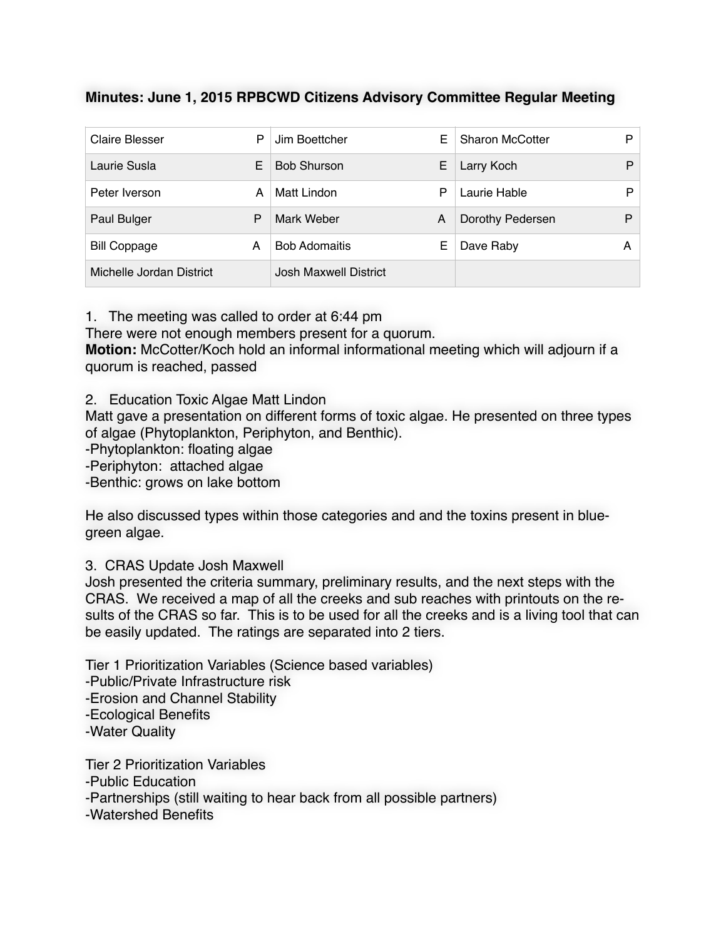## **Minutes: June 1, 2015 RPBCWD Citizens Advisory Committee Regular Meeting**

| <b>Claire Blesser</b>    | P | Jim Boettcher         | E | <b>Sharon McCotter</b> | D |
|--------------------------|---|-----------------------|---|------------------------|---|
| Laurie Susla             | E | <b>Bob Shurson</b>    | Е | Larry Koch             | D |
| Peter Iverson            | А | Matt Lindon           | P | Laurie Hable           | D |
| Paul Bulger              | P | Mark Weber            | A | Dorothy Pedersen       | P |
| <b>Bill Coppage</b>      | A | <b>Bob Adomaitis</b>  | Е | Dave Raby              | A |
| Michelle Jordan District |   | Josh Maxwell District |   |                        |   |

1. The meeting was called to order at 6:44 pm

There were not enough members present for a quorum.

**Motion:** McCotter/Koch hold an informal informational meeting which will adjourn if a quorum is reached, passed

2. Education Toxic Algae Matt Lindon

Matt gave a presentation on different forms of toxic algae. He presented on three types of algae (Phytoplankton, Periphyton, and Benthic).

-Phytoplankton: floating algae

-Periphyton: attached algae

-Benthic: grows on lake bottom

He also discussed types within those categories and and the toxins present in bluegreen algae.

## 3. CRAS Update Josh Maxwell

Josh presented the criteria summary, preliminary results, and the next steps with the CRAS. We received a map of all the creeks and sub reaches with printouts on the results of the CRAS so far. This is to be used for all the creeks and is a living tool that can be easily updated. The ratings are separated into 2 tiers.

Tier 1 Prioritization Variables (Science based variables) -Public/Private Infrastructure risk -Erosion and Channel Stability -Ecological Benefits -Water Quality

Tier 2 Prioritization Variables -Public Education -Partnerships (still waiting to hear back from all possible partners) -Watershed Benefits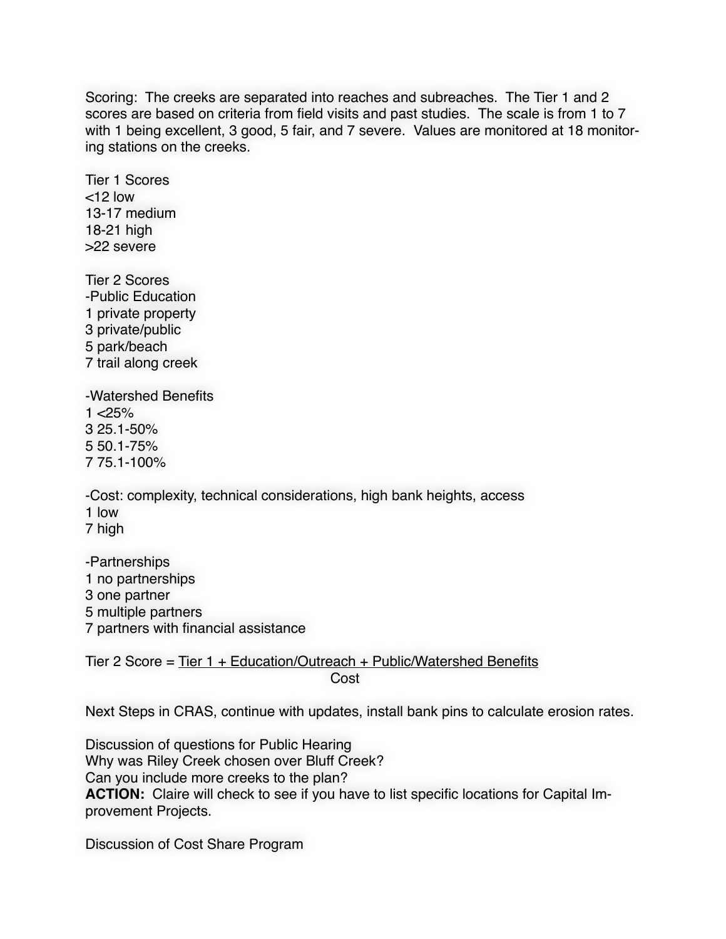Scoring: The creeks are separated into reaches and subreaches. The Tier 1 and 2 scores are based on criteria from field visits and past studies. The scale is from 1 to 7 with 1 being excellent, 3 good, 5 fair, and 7 severe. Values are monitored at 18 monitoring stations on the creeks.

Tier 1 Scores  $<$ 12 low 13-17 medium 18-21 high >22 severe

Tier 2 Scores -Public Education 1 private property 3 private/public 5 park/beach 7 trail along creek

-Watershed Benefits  $1 < 25%$ 3 25.1-50% 5 50.1-75% 7 75.1-100%

-Cost: complexity, technical considerations, high bank heights, access 1 low 7 high

-Partnerships 1 no partnerships 3 one partner 5 multiple partners 7 partners with financial assistance

Tier 2 Score = Tier 1 + Education/Outreach + Public/Watershed Benefits **Cost** Cost in the Cost of the Cost of the Cost

Next Steps in CRAS, continue with updates, install bank pins to calculate erosion rates.

Discussion of questions for Public Hearing Why was Riley Creek chosen over Bluff Creek? Can you include more creeks to the plan? **ACTION:** Claire will check to see if you have to list specific locations for Capital Improvement Projects.

Discussion of Cost Share Program